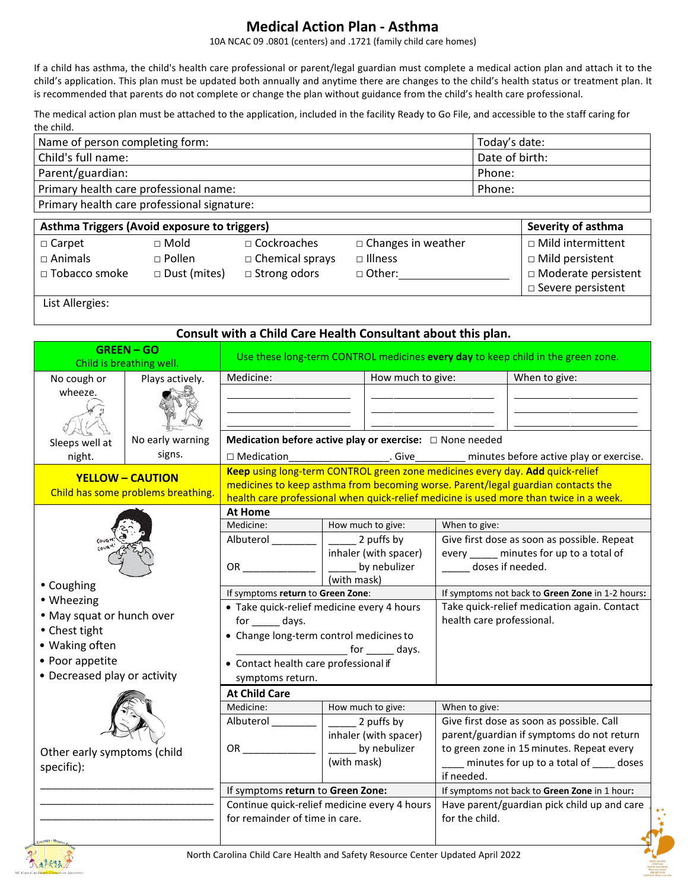## **Medical Action Plan - Asthma**

10A NCAC 09 .0801 (centers) and .1721 (family child care homes)

If a child has asthma, the child's health care professional or parent/legal guardian must complete a medical action plan and attach it to the child's application. This plan must be updated both annually and anytime there are changes to the child's health status or treatment plan. It is recommended that parents do not complete or change the plan without guidance from the child's health care professional.

The medical action plan must be attached to the application, included in the facility Ready to Go File, and accessible to the staff caring for the child.

| Name of person completing form:             | Today's date:  |
|---------------------------------------------|----------------|
| Child's full name:                          | Date of birth: |
| Parent/guardian:                            | Phone:         |
| Primary health care professional name:      | Phone:         |
| Primary health care professional signature: |                |

| Asthma Triggers (Avoid exposure to triggers)<br>Severity of asthma |                                                          |                                                                     |                                                              |                                                                                                       |
|--------------------------------------------------------------------|----------------------------------------------------------|---------------------------------------------------------------------|--------------------------------------------------------------|-------------------------------------------------------------------------------------------------------|
| □ Carpet<br>□ Animals<br>□ Tobacco smoke                           | $\sqcap$ Mold<br>$\Box$ Pollen<br>$\square$ Dust (mites) | $\Box$ Cockroaches<br>$\Box$ Chemical sprays<br>$\Box$ Strong odors | $\Box$ Changes in weather<br>$\Box$ Illness<br>$\Box$ Other: | □ Mild intermittent<br>$\Box$ Mild persistent<br>□ Moderate persistent<br>$\square$ Severe persistent |

List Allergies:

### **Consult with a Child Care Health Consultant about this plan.**

|                                           | <b>GREEN-GO</b><br>Child is breathing well.                                                                                                                   |                                                                                                                                                                                                                                                                               |                                                               |                                                                                         | Use these long-term CONTROL medicines every day to keep child in the green zone.         |
|-------------------------------------------|---------------------------------------------------------------------------------------------------------------------------------------------------------------|-------------------------------------------------------------------------------------------------------------------------------------------------------------------------------------------------------------------------------------------------------------------------------|---------------------------------------------------------------|-----------------------------------------------------------------------------------------|------------------------------------------------------------------------------------------|
| No cough or                               | Plays actively.                                                                                                                                               | Medicine:                                                                                                                                                                                                                                                                     | How much to give:                                             |                                                                                         | When to give:                                                                            |
| wheeze.                                   |                                                                                                                                                               |                                                                                                                                                                                                                                                                               |                                                               |                                                                                         |                                                                                          |
| Sleeps well at                            | No early warning                                                                                                                                              |                                                                                                                                                                                                                                                                               | Medication before active play or exercise: $\Box$ None needed |                                                                                         |                                                                                          |
| night.                                    | signs.                                                                                                                                                        | $\Box$ Medication                                                                                                                                                                                                                                                             | . Give                                                        |                                                                                         | minutes before active play or exercise.                                                  |
|                                           | <b>YELLOW - CAUTION</b><br>Child has some problems breathing.                                                                                                 | Keep using long-term CONTROL green zone medicines every day. Add quick-relief<br>medicines to keep asthma from becoming worse. Parent/legal guardian contacts the<br>health care professional when quick-relief medicine is used more than twice in a week.<br><b>At Home</b> |                                                               |                                                                                         |                                                                                          |
|                                           |                                                                                                                                                               | Medicine:                                                                                                                                                                                                                                                                     | How much to give:                                             | When to give:                                                                           |                                                                                          |
|                                           |                                                                                                                                                               | Albuterol _______                                                                                                                                                                                                                                                             | 2 puffs by<br>inhaler (with spacer)                           | Give first dose as soon as possible. Repeat<br>every _____ minutes for up to a total of |                                                                                          |
|                                           |                                                                                                                                                               | OR DO                                                                                                                                                                                                                                                                         | _____ by nebulizer<br>(with mask)                             | doses if needed.                                                                        |                                                                                          |
| • Coughing                                |                                                                                                                                                               | If symptoms return to Green Zone:                                                                                                                                                                                                                                             |                                                               | If symptoms not back to Green Zone in 1-2 hours:                                        |                                                                                          |
| • Chest tight<br>• Waking often           | • Wheezing<br>· Take quick-relief medicine every 4 hours<br>• May squat or hunch over<br>for ______ days.<br>• Change long-term control medicines to<br>days. |                                                                                                                                                                                                                                                                               | health care professional.                                     | Take quick-relief medication again. Contact                                             |                                                                                          |
| • Poor appetite                           |                                                                                                                                                               | • Contact health care professional if                                                                                                                                                                                                                                         |                                                               |                                                                                         |                                                                                          |
| • Decreased play or activity              |                                                                                                                                                               | symptoms return.                                                                                                                                                                                                                                                              |                                                               |                                                                                         |                                                                                          |
|                                           |                                                                                                                                                               | <b>At Child Care</b>                                                                                                                                                                                                                                                          |                                                               |                                                                                         |                                                                                          |
|                                           |                                                                                                                                                               | Medicine:                                                                                                                                                                                                                                                                     | How much to give:                                             | When to give:                                                                           |                                                                                          |
|                                           |                                                                                                                                                               | Albuterol                                                                                                                                                                                                                                                                     | 2 puffs by<br>inhaler (with spacer)                           |                                                                                         | Give first dose as soon as possible. Call<br>parent/guardian if symptoms do not return   |
| Other early symptoms (child<br>specific): |                                                                                                                                                               | OR <b>Service Structure</b>                                                                                                                                                                                                                                                   | by nebulizer<br>(with mask)                                   | if needed.                                                                              | to green zone in 15 minutes. Repeat every<br>___ minutes for up to a total of ____ doses |
|                                           |                                                                                                                                                               | If symptoms return to Green Zone:                                                                                                                                                                                                                                             |                                                               |                                                                                         | If symptoms not back to Green Zone in 1 hour:                                            |
|                                           |                                                                                                                                                               | Continue quick-relief medicine every 4 hours<br>for remainder of time in care.                                                                                                                                                                                                |                                                               | for the child.                                                                          | Have parent/guardian pick child up and care                                              |